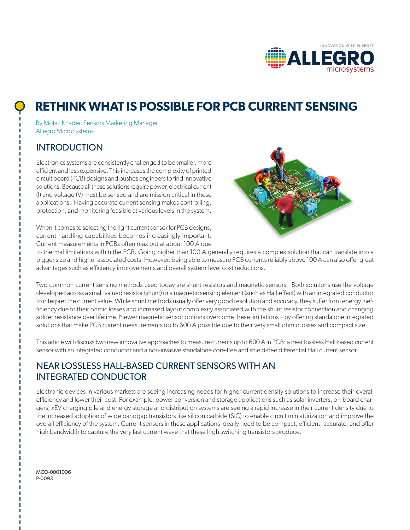

# **RETHINK WHAT IS POSSIBLE FOR PCB CURRENT SENSING**

By Motaz Khader, Sensors Marketing Manager Allegro MicroSystems

### **INTRODUCTION**

Electronics systems are consistently challenged to be smaller, more efficient and less expensive. This increases the complexity of printed circuit board (PCB) designs and pushes engineers to find innovative solutions. Because all these solutions require power, electrical current (I) and voltage (V) must be sensed and are mission critical in these applications. Having accurate current sensing makes controlling, protection, and monitoring feasible at various levels in the system.



When it comes to selecting the right current sensor for PCB designs, current handling capabilities becomes increasingly important. Current measurements in PCBs often max out at about 100 A due

to thermal limitations within the PCB. Going higher than 100 A generally requires a complex solution that can translate into a bigger size and higher associated costs. However, being able to measure PCB currents reliably above 100 A can also offer great advantages such as efficiency improvements and overall system-level cost reductions.

Two common current sensing methods used today are shunt resistors and magnetic sensors. Both solutions use the voltage developed across a small-valued resistor (shunt) or a magnetic sensing element (such as Hall-effect) with an integrated conductor to interpret the current value. While shunt methods usually offer very good resolution and accuracy, they suffer from energy inefficiency due to their ohmic losses and increased layout complexity associated with the shunt resistor connection and changing solder resistance over lifetime. Newer magnetic sensor options overcome these limitations – by offering standalone integrated solutions that make PCB current measurements up to 600 A possible due to their very small ohmic losses and compact size.

This article will discuss two new innovative approaches to measure currents up to 600 A in PCB: a near lossless Hall-based current sensor with an integrated conductor and a non-invasive standalone core-free and shield-free differential Hall current sensor.

### NEAR LOSSLESS HALL-BASED CURRENT SENSORS WITH AN INTEGRATED CONDUCTOR

Electronic devices in various markets are seeing increasing needs for higher current density solutions to increase their overall efficiency and lower their cost. For example, power conversion and storage applications such as solar inverters, on-board chargers, xEV charging pile and energy storage and distribution systems are seeing a rapid increase in their current density due to the increased adoption of wide bandgap transistors like silicon carbide (SiC) to enable circuit miniaturization and improve the overall efficiency of the system. Current sensors in these applications ideally need to be compact, efficient, accurate, and offer high bandwidth to capture the very fast current wave that these high switching transistors produce.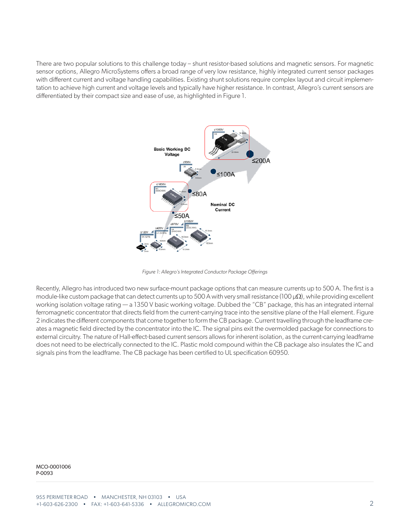There are two popular solutions to this challenge today – shunt resistor-based solutions and magnetic sensors. For magnetic sensor options, Allegro MicroSystems offers a broad range of very low resistance, highly integrated current sensor packages with different current and voltage handling capabilities. Existing shunt solutions require complex layout and circuit implementation to achieve high current and voltage levels and typically have higher resistance. In contrast, Allegro's current sensors are differentiated by their compact size and ease of use, as highlighted in Figure 1.



*Figure 1: Allegro's Integrated Conductor Package Offerings*

Recently, Allegro has introduced two new surface-mount package options that can measure currents up to 500 A. The first is a module-like custom package that can detect currents up to 500 A with very small resistance (100 µ $\Omega$ ), while providing excellent working isolation voltage rating — a 1350 V basic working voltage. Dubbed the "CB" package, this has an integrated internal ferromagnetic concentrator that directs field from the current-carrying trace into the sensitive plane of the Hall element. Figure 2 indicates the different components that come together to form the CB package. Current travelling through the leadframe creates a magnetic field directed by the concentrator into the IC. The signal pins exit the overmolded package for connections to external circuitry. The nature of Hall-effect-based current sensors allows for inherent isolation, as the current-carrying leadframe does not need to be electrically connected to the IC. Plastic mold compound within the CB package also insulates the IC and signals pins from the leadframe. The CB package has been certified to UL specification 60950.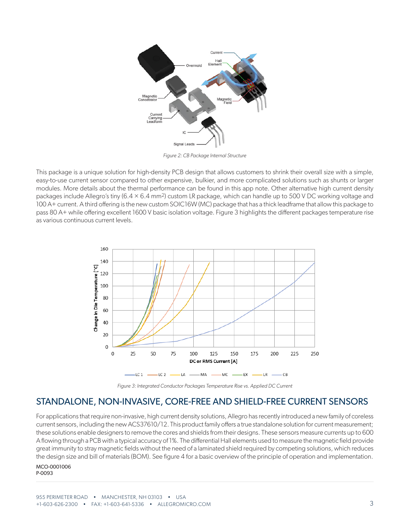

*Figure 2: CB Package Internal Structure*

This package is a unique solution for high-density PCB design that allows customers to shrink their overall size with a simple, easy-to-use current sensor compared to other expensive, bulkier, and more complicated solutions such as shunts or larger modules. More details about the thermal performance can be found in this app note. Other alternative high current density packages include Allegro's tiny  $(6.4 \times 6.4 \text{ mm}^2)$  custom LR package, which can handle up to 500 V DC working voltage and 100 A+ current. A third offering is the new custom SOIC16W (MC) package that has a thick leadframe that allow this package to pass 80 A+ while offering excellent 1600 V basic isolation voltage. Figure 3 highlights the different packages temperature rise as various continuous current levels.



*Figure 3: Integrated Conductor Packages Temperature Rise vs. Applied DC Current*

#### STANDALONE, NON-INVASIVE, CORE-FREE AND SHIELD-FREE CURRENT SENSORS

For applications that require non-invasive, high current density solutions, Allegro has recently introduced a new family of coreless current sensors, including the new ACS37610/12. This product family offers a true standalone solution for current measurement; these solutions enable designers to remove the cores and shields from their designs. These sensors measure currents up to 600 A flowing through a PCB with a typical accuracy of 1%. The differential Hall elements used to measure the magnetic field provide great immunity to stray magnetic fields without the need of a laminated shield required by competing solutions, which reduces the design size and bill of materials (BOM). See figure 4 for a basic overview of the principle of operation and implementation.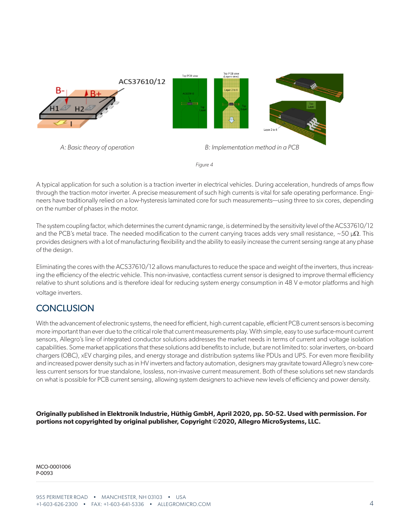

*Figure 4*

A typical application for such a solution is a traction inverter in electrical vehicles. During acceleration, hundreds of amps flow through the traction motor inverter. A precise measurement of such high currents is vital for safe operating performance. Engineers have traditionally relied on a low-hysteresis laminated core for such measurements—using three to six cores, depending on the number of phases in the motor.

The system coupling factor, which determines the current dynamic range, is determined by the sensitivity level of the ACS37610/12 and the PCB's metal trace. The needed modification to the current carrying traces adds very small resistance, ~50 µ $\Omega$ . This provides designers with a lot of manufacturing flexibility and the ability to easily increase the current sensing range at any phase of the design.

Eliminating the cores with the ACS37610/12 allows manufactures to reduce the space and weight of the inverters, thus increasing the efficiency of the electric vehicle. This non-invasive, contactless current sensor is designed to improve thermal efficiency relative to shunt solutions and is therefore ideal for reducing system energy consumption in 48 V e-motor platforms and high voltage inverters.

## **CONCLUSION**

With the advancement of electronic systems, the need for efficient, high current capable, efficient PCB current sensors is becoming more important than ever due to the critical role that current measurements play. With simple, easy to use surface-mount current sensors, Allegro's line of integrated conductor solutions addresses the market needs in terms of current and voltage isolation capabilities. Some market applications that these solutions add benefits to include, but are not limited to: solar inverters, on-board chargers (OBC), xEV charging piles, and energy storage and distribution systems like PDUs and UPS. For even more flexibility and increased power density such as in HV inverters and factory automation, designers may gravitate toward Allegro's new coreless current sensors for true standalone, lossless, non-invasive current measurement. Both of these solutions set new standards on what is possible for PCB current sensing, allowing system designers to achieve new levels of efficiency and power density.

**Originally published in Elektronik Industrie, Hüthig GmbH, April 2020, pp. 50-52. Used with permission. For portions not copyrighted by original publisher, Copyright ©2020, Allegro MicroSystems, LLC.**